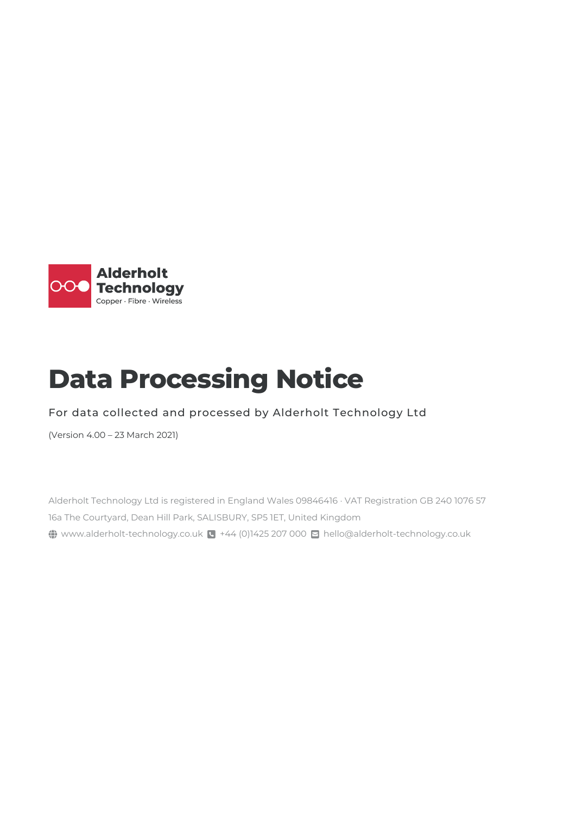

# **Data Processing Notice**

### For data collected and processed by Alderholt Technology Ltd

(Version 4.00 – 23 March 2021)

Alderholt Technology Ltd is registered in England Wales 09846416 · VAT Registration GB 240 1076 57 16a The Courtyard, Dean Hill Park, SALISBURY, SP5 1ET, United Kingdom **(**) www.alderholt-technology.co.uk +44 (0)1425 207 000 **D** hello@alderholt-technology.co.uk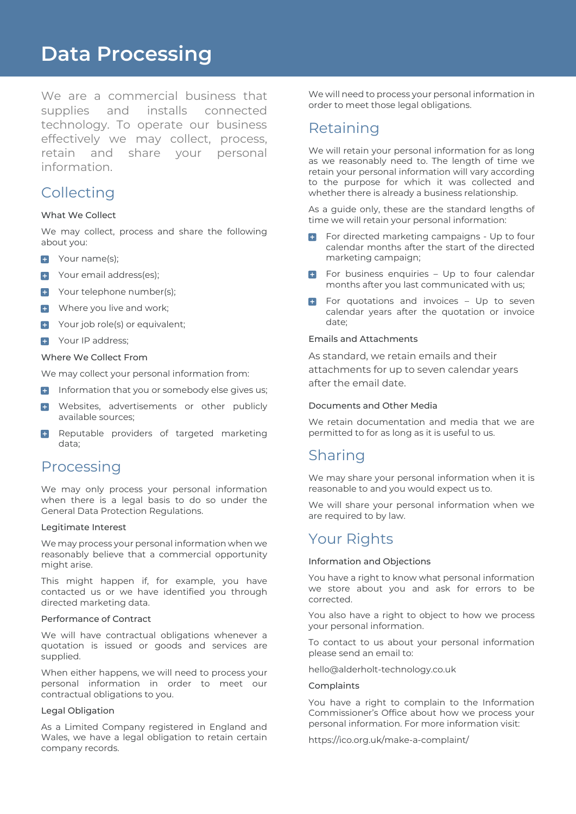## **Data Processing**

We are a commercial business that supplies and installs connected technology. To operate our business effectively we may collect, process, retain and share your personal information.

## Collecting

#### What We Collect

We may collect, process and share the following about you:

- Your name(s);
- **+** Your email address(es);
- **+** Your telephone number(s);
- **t** Where you live and work;
- **F** Your job role(s) or equivalent;
- **E** Your IP address:

#### Where We Collect From

We may collect your personal information from:

- $\left| + \right|$ Information that you or somebody else gives us;
- Websites, advertisements or other publicly  $\left| \frac{1}{2} \right|$ available sources;
- Reputable providers of targeted marketing Ð data;

## Processing

We may only process your personal information when there is a legal basis to do so under the General Data Protection Regulations.

#### Legitimate Interest

We may process your personal information when we reasonably believe that a commercial opportunity might arise.

This might happen if, for example, you have contacted us or we have identified you through directed marketing data.

#### Performance of Contract

We will have contractual obligations whenever a quotation is issued or goods and services are supplied.

When either happens, we will need to process your personal information in order to meet our contractual obligations to you.

#### Legal Obligation

As a Limited Company registered in England and Wales, we have a legal obligation to retain certain company records.

We will need to process your personal information in order to meet those legal obligations.

## Retaining

We will retain your personal information for as long as we reasonably need to. The length of time we retain your personal information will vary according to the purpose for which it was collected and whether there is already a business relationship.

As a guide only, these are the standard lengths of time we will retain your personal information:

- $+$ For directed marketing campaigns - Up to four calendar months after the start of the directed marketing campaign;
- **F** For business enquiries Up to four calendar months after you last communicated with us;
- For quotations and invoices Up to seven calendar years after the quotation or invoice date;

#### Emails and Attachments

As standard, we retain emails and their attachments for up to seven calendar years after the email date.

#### Documents and Other Media

We retain documentation and media that we are permitted to for as long as it is useful to us.

## Sharing

We may share your personal information when it is reasonable to and you would expect us to.

We will share your personal information when we are required to by law.

## Your Rights

#### Information and Objections

You have a right to know what personal information we store about you and ask for errors to be corrected.

You also have a right to object to how we process your personal information.

To contact to us about your personal information please send an email to:

hello@alderholt-technology.co.uk

#### Complaints

You have a right to complain to the Information Commissioner's Office about how we process your personal information. For more information visit:

https://ico.org.uk/make-a-complaint/